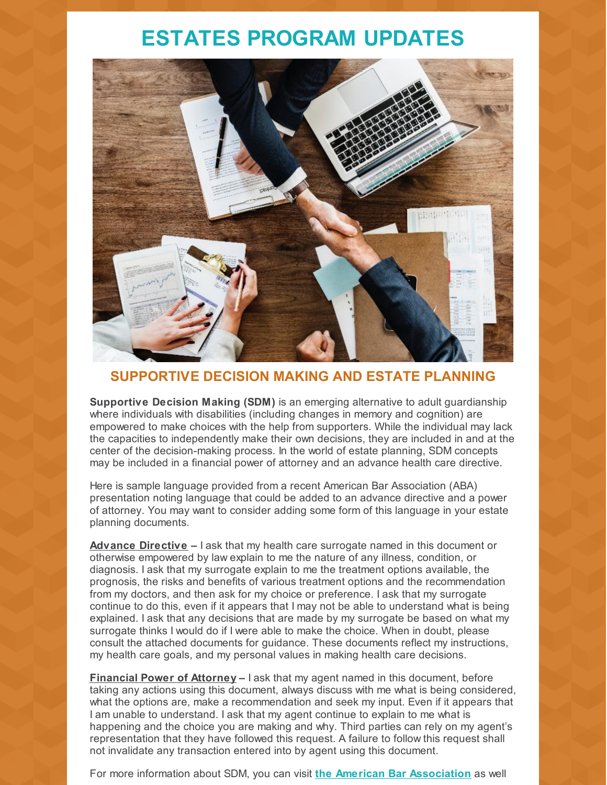# **ESTATES PROGRAM UPDATES**



## **SUPPORTIVE DECISION MAKING AND ESTATE PLANNING**

**Supportive Decision Making (SDM)** is an emerging alternative to adult guardianship where individuals with disabilities (including changes in memory and cognition) are empowered to make choices with the help from supporters. While the individual may lack the capacities to independently make their own decisions, they are included in and at the center of the decision-making process. In the world of estate planning, SDM concepts may be included in a financial power of attorney and an advance health care directive.

Here is sample language provided from a recent American Bar Association (ABA) presentation noting language that could be added to an advance directive and a power of attorney. You may want to consider adding some form of this language in your estate planning documents.

**Advance Directive –** I ask that my health care surrogate named in this document or otherwise empowered by law explain to me the nature of any illness, condition, or diagnosis. I ask that my surrogate explain to me the treatment options available, the prognosis, the risks and benefits of various treatment options and the recommendation from my doctors, and then ask for my choice or preference. I ask that my surrogate continue to do this, even if it appears that I may not be able to understand what is being explained. I ask that any decisions that are made by my surrogate be based on what my surrogate thinks I would do if I were able to make the choice. When in doubt, please consult the attached documents for guidance. These documents reflect my instructions, my health care goals, and my personal values in making health care decisions.

**Financial Power of Attorney –** I ask that my agent named in this document, before taking any actions using this document, always discuss with me what is being considered, what the options are, make a recommendation and seek my input. Even if it appears that I am unable to understand. I ask that my agent continue to explain to me what is happening and the choice you are making and why. Third parties can rely on my agent's representation that they have followed this request. A failure to follow this request shall not invalidate any transaction entered into by agent using this document.

For more information about SDM, you can visit **the American Bar [Association](https://www.americanbar.org/groups/law_aging/resources/guardianship_law_practice/)** as well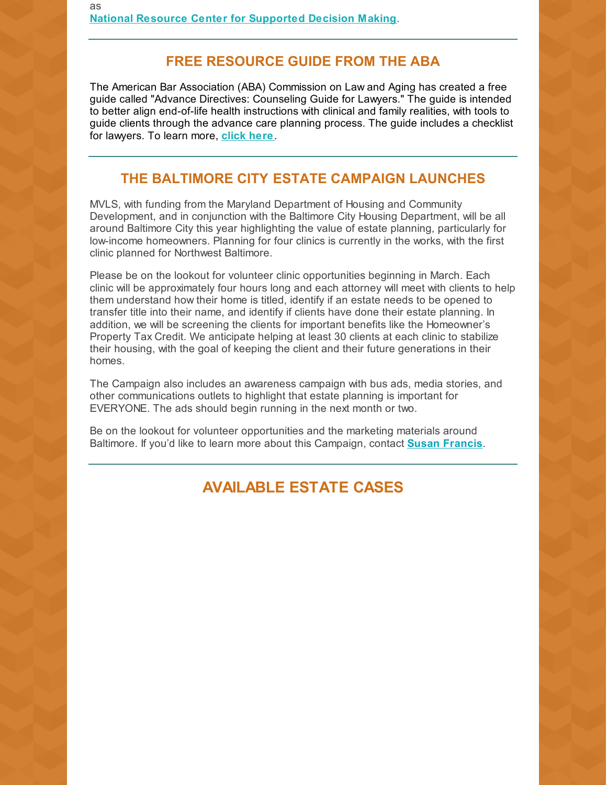## **FREE RESOURCE GUIDE FROM THE ABA**

The American Bar Association (ABA) Commission on Law and Aging has created a free guide called "Advance Directives: Counseling Guide for Lawyers." The guide is intended to better align end-of-life health instructions with clinical and family realities, with tools to guide clients through the advance care planning process. The guide includes a checklist for lawyers. To learn more, **[click](https://www.americanbar.org/content/dam/aba/administrative/law_aging/lawyers-ad-counseling-guide.pdf) here**.

## **THE BALTIMORE CITY ESTATE CAMPAIGN LAUNCHES**

MVLS, with funding from the Maryland Department of Housing and Community Development, and in conjunction with the Baltimore City Housing Department, will be all around Baltimore City this year highlighting the value of estate planning, particularly for low-income homeowners. Planning for four clinics is currently in the works, with the first clinic planned for Northwest Baltimore.

Please be on the lookout for volunteer clinic opportunities beginning in March. Each clinic will be approximately four hours long and each attorney will meet with clients to help them understand how their home is titled, identify if an estate needs to be opened to transfer title into their name, and identify if clients have done their estate planning. In addition, we will be screening the clients for important benefits like the Homeowner's Property Tax Credit. We anticipate helping at least 30 clients at each clinic to stabilize their housing, with the goal of keeping the client and their future generations in their homes.

The Campaign also includes an awareness campaign with bus ads, media stories, and other communications outlets to highlight that estate planning is important for EVERYONE. The ads should begin running in the next month or two.

Be on the lookout for volunteer opportunities and the marketing materials around Baltimore. If you'd like to learn more about this Campaign, contact **Susan [Francis](mailto:sfrancis@mvlslaw.org)**.

## **AVAILABLE ESTATE CASES**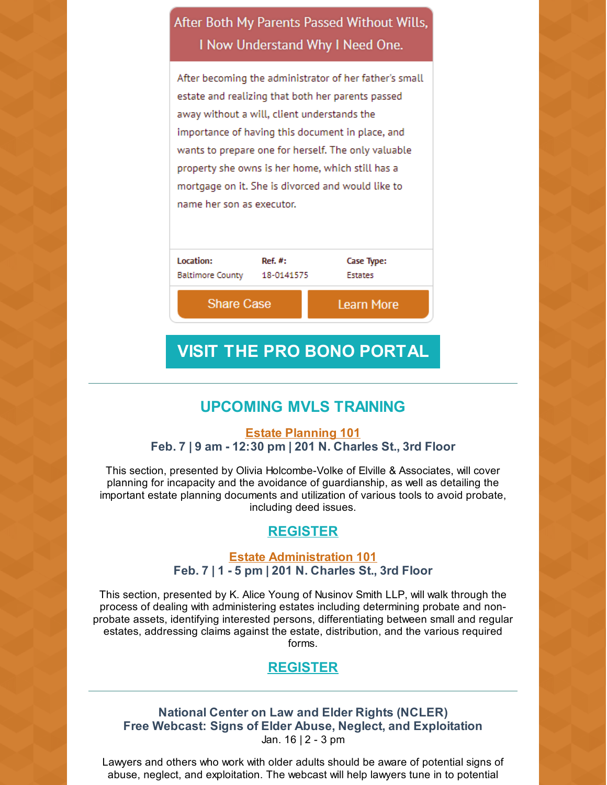## After Both My Parents Passed Without Wills, I Now Understand Why I Need One.

After becoming the administrator of her father's small estate and realizing that both her parents passed away without a will, client understands the importance of having this document in place, and wants to prepare one for herself. The only valuable property she owns is her home, which still has a mortgage on it. She is divorced and would like to name her son as executor.

| Location:               | Ref. #:    | Case Type:        |
|-------------------------|------------|-------------------|
| <b>Baltimore County</b> | 18-0141575 | <b>Estates</b>    |
| <b>Share Case</b>       |            | <b>Learn More</b> |

## **VISIT THE PRO BONO [PORTAL](https://mvlslaw.org/probonoportal/)**

## **UPCOMING MVLS TRAINING**

#### **Estate [Planning](https://mvlslaw.org/event/estate-planning-101/) 101 Feb. 7 | 9 am - 12:30 pm | 201 N. Charles St., 3rd Floor**

This section, presented by Olivia Holcombe-Volke of Elville & Associates, will cover planning for incapacity and the avoidance of guardianship, as well as detailing the important estate planning documents and utilization of various tools to avoid probate, including deed issues.

### **[REGISTER](https://mvlslaw.org/event/estate-planning-101/)**

#### **Estate [Administration](https://mvlslaw.org/event/estate-administration-101/) 101 Feb. 7 | 1 - 5 pm | 201 N. Charles St., 3rd Floor**

This section, presented by K. Alice Young of Nusinov Smith LLP, will walk through the process of dealing with administering estates including determining probate and nonprobate assets, identifying interested persons, differentiating between small and regular estates, addressing claims against the estate, distribution, and the various required forms.

## **[REGISTER](https://mvlslaw.org/event/estate-administration-101/)**

#### **National Center on Law and Elder Rights (NCLER) Free Webcast: Signs of Elder Abuse, Neglect, and Exploitation** Jan. 16 | 2 - 3 pm

Lawyers and others who work with older adults should be aware of potential signs of abuse, neglect, and exploitation. The webcast will help lawyers tune in to potential